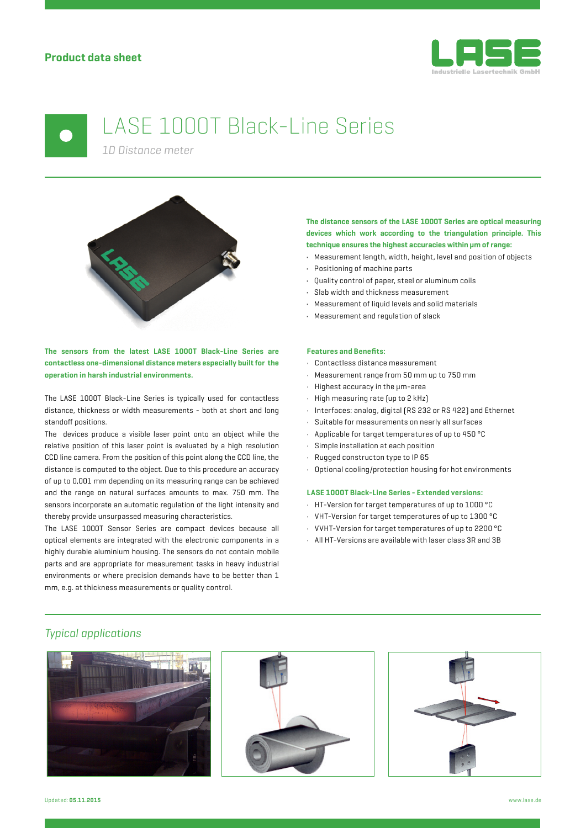

# LASE 1000T Black-Line Series

*1D Distance meter*



**The sensors from the latest LASE 1000T Black-Line Series are contactless one-dimensional distance meters especially built for the operation in harsh industrial environments.**

The LASE 1000T Black-Line Series is typically used for contactless distance, thickness or width measurements - both at short and long standoff positions.

The devices produce a visible laser point onto an object while the relative position of this laser point is evaluated by a high resolution CCD line camera. From the position of this point along the CCD line, the distance is computed to the object. Due to this procedure an accuracy of up to 0,001 mm depending on its measuring range can be achieved and the range on natural surfaces amounts to max. 750 mm. The sensors incorporate an automatic regulation of the light intensity and thereby provide unsurpassed measuring characteristics.

The LASE 1000T Sensor Series are compact devices because all optical elements are integrated with the electronic components in a highly durable aluminium housing. The sensors do not contain mobile parts and are appropriate for measurement tasks in heavy industrial environments or where precision demands have to be better than 1 mm, e.g. at thickness measurements or quality control.

### **The distance sensors of the LASE 1000T Series are optical measuring devices which work according to the triangulation principle. This technique ensures the highest accuracies within μm of range:**

- Measurement length, width, height, level and position of objects
- Positioning of machine parts
- Quality control of paper, steel or aluminum coils
- Slab width and thickness measurement
- Measurement of liquid levels and solid materials
- Measurement and regulation of slack

### **Features and Benefits:**

- Contactless distance measurement
- Measurement range from 50 mm up to 750 mm
- Highest accuracy in the μm-area
- High measuring rate (up to 2 kHz)
- Interfaces: analog, digital (RS 232 or RS 422) and Ethernet
- Suitable for measurements on nearly all surfaces
- Applicable for target temperatures of up to 450 °C
- Simple installation at each position
- Rugged constructon type to IP 65
- Optional cooling/protection housing for hot environments

### **LASE 1000T Black-Line Series - Extended versions:**

- HT-Version for target temperatures of up to 1000 °C
- VHT-Version for target temperatures of up to 1300 °C
- VVHT-Version for target temperatures of up to 2200 °C
- All HT-Versions are available with laser class 3R and 3B

### *Typical applications*